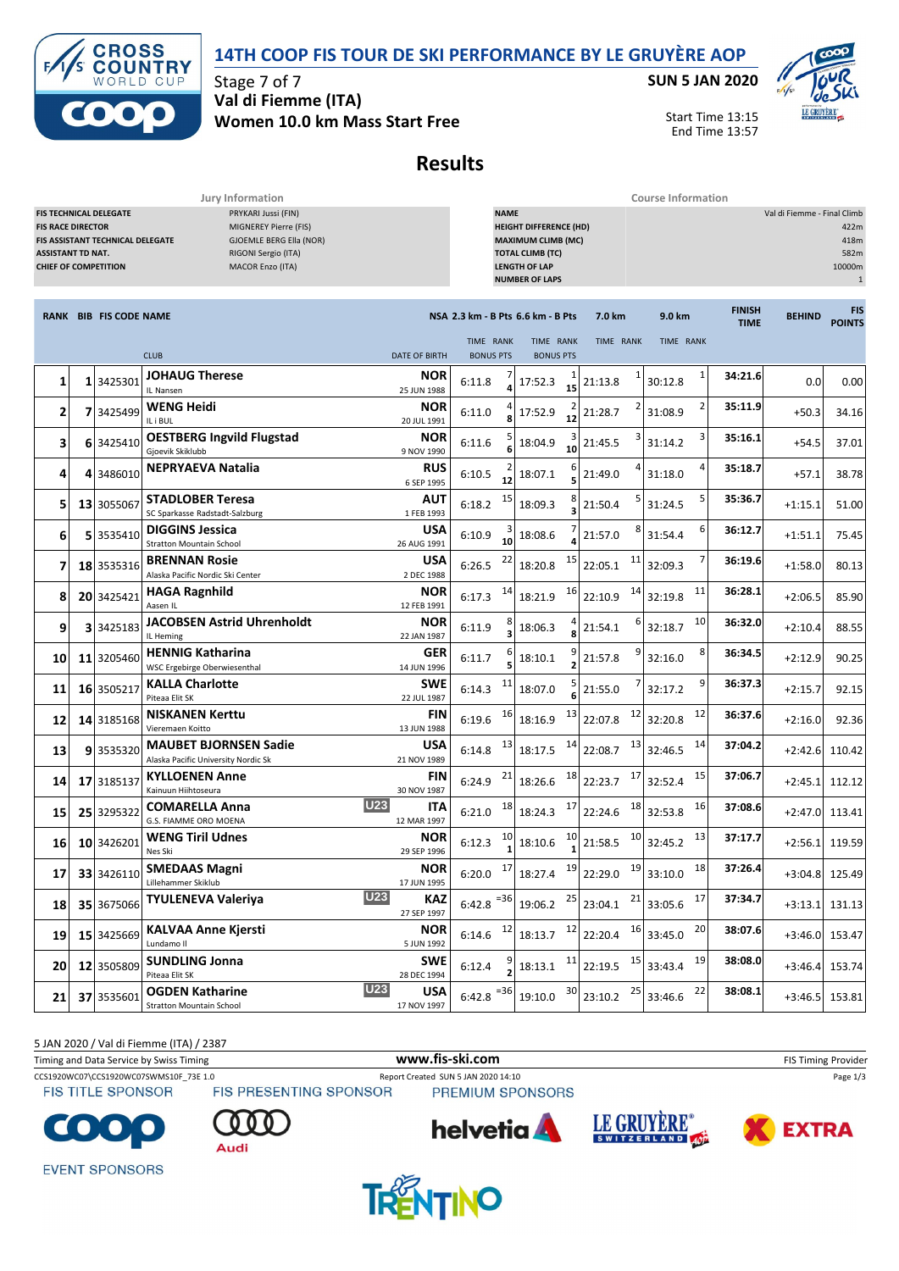



Stage 7 of 7 **Val di Fiemme (ITA) Women 10.0 km Mass Start Free**

## **SUN 5 JAN 2020**



Start Time 13:15 End Time 13:57

## **Results**

**Jury Information Course Information**

| PRYKARI Jussi (FIN)<br><b>FIS TECHNICAL DELEGATE</b><br>MIGNEREY Pierre (FIS)<br><b>FIS RACE DIRECTOR</b><br>GJOEMLE BERG Ella (NOR)<br>FIS ASSISTANT TECHNICAL DELEGATE<br><b>ASSISTANT TD NAT.</b><br>RIGONI Sergio (ITA)<br><b>CHIEF OF COMPETITION</b><br>MACOR Enzo (ITA) |  |                               |                                                                     |                                         | <b>NAME</b><br>Val di Fiemme - Final Climb<br><b>HEIGHT DIFFERENCE (HD)</b><br><b>MAXIMUM CLIMB (MC)</b><br><b>TOTAL CLIMB (TC)</b><br><b>LENGTH OF LAP</b><br><b>NUMBER OF LAPS</b> |                  |                                   |         |               |           |    |                              | 422m<br>418m<br>582m<br>10000m<br>$\mathbf{1}$ |                      |
|--------------------------------------------------------------------------------------------------------------------------------------------------------------------------------------------------------------------------------------------------------------------------------|--|-------------------------------|---------------------------------------------------------------------|-----------------------------------------|--------------------------------------------------------------------------------------------------------------------------------------------------------------------------------------|------------------|-----------------------------------|---------|---------------|-----------|----|------------------------------|------------------------------------------------|----------------------|
|                                                                                                                                                                                                                                                                                |  | <b>RANK BIB FIS CODE NAME</b> |                                                                     |                                         |                                                                                                                                                                                      |                  | NSA 2.3 km - B Pts 6.6 km - B Pts |         | 7.0 km        | 9.0 km    |    | <b>FINISH</b><br><b>TIME</b> | <b>BEHIND</b>                                  | FIS<br><b>POINTS</b> |
|                                                                                                                                                                                                                                                                                |  |                               | <b>CLUB</b>                                                         | <b>DATE OF BIRTH</b>                    | TIME RANK                                                                                                                                                                            | <b>BONUS PTS</b> | TIME RANK<br><b>BONUS PTS</b>     |         | TIME RANK     | TIME RANK |    |                              |                                                |                      |
| 1                                                                                                                                                                                                                                                                              |  | 1 3425301                     | <b>JOHAUG Therese</b><br>IL Nansen                                  | <b>NOR</b><br>25 JUN 1988               | 6:11.8                                                                                                                                                                               |                  | 17:52.3                           | 15      | 21:13.8       | 30:12.8   | 1  | 34:21.6                      | 0.0                                            | 0.00                 |
| 2                                                                                                                                                                                                                                                                              |  | 7 3425499                     | <b>WENG Heidi</b><br>IL i BUL                                       | NOR<br>20 JUL 1991                      | 6:11.0                                                                                                                                                                               |                  | 17:52.9                           | 2<br>12 | 21:28.7       | 31:08.9   | 2  | 35:11.9                      | $+50.3$                                        | 34.16                |
| 3                                                                                                                                                                                                                                                                              |  | 6 3425410                     | <b>OESTBERG Ingvild Flugstad</b><br>Gjoevik Skiklubb                | NOR<br>9 NOV 1990                       | 6:11.6                                                                                                                                                                               |                  | 18:04.9                           | 10      | 21:45.5       | 31:14.2   | 3  | 35:16.1                      | $+54.5$                                        | 37.01                |
| 4                                                                                                                                                                                                                                                                              |  | 4 3486010                     | <b>NEPRYAEVA Natalia</b>                                            | RUS<br>6 SEP 1995                       | 6:10.5                                                                                                                                                                               | 12               | 18:07.1                           |         | 21:49.0       | 31:18.0   | 4  | 35:18.7                      | $+57.1$                                        | 38.78                |
| 5                                                                                                                                                                                                                                                                              |  | 13 3055067                    | <b>STADLOBER Teresa</b><br>SC Sparkasse Radstadt-Salzburg           | AUT<br>1 FEB 1993                       | 6:18.2                                                                                                                                                                               | 15               | 18:09.3                           |         | 21:50.4       | 31:24.5   | 5  | 35:36.7                      | $+1:15.1$                                      | 51.00                |
| 6                                                                                                                                                                                                                                                                              |  | 5 3535410                     | <b>DIGGINS Jessica</b><br><b>Stratton Mountain School</b>           | <b>USA</b><br>26 AUG 1991               | 6:10.9                                                                                                                                                                               | 10               | 18:08.6                           |         | 21:57.0       | 31:54.4   | 6  | 36:12.7                      | $+1:51.1$                                      | 75.45                |
| 7                                                                                                                                                                                                                                                                              |  | 18 3535316                    | <b>BRENNAN Rosie</b><br>Alaska Pacific Nordic Ski Center            | <b>USA</b><br>2 DEC 1988                | 6:26.5                                                                                                                                                                               | 22               | 18:20.8                           | 15      | 11<br>22:05.1 | 32:09.3   | 7  | 36:19.6                      | $+1:58.0$                                      | 80.13                |
| 8                                                                                                                                                                                                                                                                              |  | 20 3425421                    | <b>HAGA Ragnhild</b><br>Aasen IL                                    | NOR<br>12 FEB 1991                      | 6:17.3                                                                                                                                                                               | 14               | 18:21.9                           | 16      | 14<br>22:10.9 | 32:19.8   | 11 | 36:28.1                      | $+2:06.5$                                      | 85.90                |
| 9                                                                                                                                                                                                                                                                              |  | 3 3425183                     | <b>JACOBSEN Astrid Uhrenholdt</b><br>IL Heming                      | NOR<br>22 JAN 1987                      | 6:11.9                                                                                                                                                                               |                  | 18:06.3                           |         | 21:54.1       | 32:18.7   | 10 | 36:32.0                      | $+2:10.4$                                      | 88.55                |
| 10                                                                                                                                                                                                                                                                             |  | 11 3205460                    | <b>HENNIG Katharina</b><br>WSC Ergebirge Oberwiesenthal             | GER<br>14 JUN 1996                      | 6:11.7                                                                                                                                                                               |                  | 18:10.1                           |         | 21:57.8       | 32:16.0   | 8  | 36:34.5                      | $+2:12.9$                                      | 90.25                |
| 11                                                                                                                                                                                                                                                                             |  | 16 3505217                    | <b>KALLA Charlotte</b><br>Piteaa Elit SK                            | SWE<br>22 JUL 1987                      | 6:14.3                                                                                                                                                                               | <u>11</u>        | 18:07.0                           |         | 21:55.0       | 32:17.2   | 9  | 36:37.3                      | $+2:15.7$                                      | 92.15                |
| 12                                                                                                                                                                                                                                                                             |  | 14 3185168                    | <b>NISKANEN Kerttu</b><br>Vieremaen Koitto                          | 13 JUN 1988                             | FIN<br>6:19.6                                                                                                                                                                        | 16               | 18:16.9                           | 13      | 12<br>22:07.8 | 32:20.8   | 12 | 36:37.6                      | $+2:16.0$                                      | 92.36                |
| 13                                                                                                                                                                                                                                                                             |  | 93535320                      | <b>MAUBET BJORNSEN Sadie</b><br>Alaska Pacific University Nordic Sk | <b>USA</b><br>21 NOV 1989               | 6:14.8                                                                                                                                                                               | 13               | 18:17.5                           | 14      | 13<br>22:08.7 | 32:46.5   | 14 | 37:04.2                      | $+2:42.6$                                      | 110.42               |
| 14                                                                                                                                                                                                                                                                             |  | 17 3185137                    | <b>KYLLOENEN Anne</b><br>Kainuun Hiihtoseura                        | 30 NOV 1987                             | FIN<br>6:24.9                                                                                                                                                                        | 21               | 18:26.6                           | 18      | 17<br>22:23.7 | 32:52.4   | 15 | 37:06.7                      | $+2:45.1$                                      | 112.12               |
| 15                                                                                                                                                                                                                                                                             |  | 25 3295322                    | <b>COMARELLA Anna</b><br>G.S. FIAMME ORO MOENA                      | <b>U23</b><br>12 MAR 1997               | ITA<br>6:21.0                                                                                                                                                                        | 18               | 18:24.3                           | 17      | 18<br>22:24.6 | 32:53.8   | 16 | 37:08.6                      | $+2:47.0$                                      | 113.41               |
| 16                                                                                                                                                                                                                                                                             |  | 10 3426201                    | <b>WENG Tiril Udnes</b><br>Nes Ski                                  | <b>NOR</b><br>29 SEP 1996               | 6:12.3                                                                                                                                                                               | 10               | 18:10.6                           | 10      | 10<br>21:58.5 | 32:45.2   | 13 | 37:17.7                      | $+2:56.1$                                      | 119.59               |
| 17                                                                                                                                                                                                                                                                             |  | 33 3426110                    | <b>SMEDAAS Magni</b><br>Lillehammer Skiklub                         | <b>NOR</b><br>17 JUN 1995               | 6:20.0                                                                                                                                                                               | 17               | 18:27.4                           | 19      | 19<br>22:29.0 | 33:10.0   | 18 | 37:26.4                      | $+3:04.8$                                      | 125.49               |
| 18                                                                                                                                                                                                                                                                             |  | 35 3675066                    | <b>TYULENEVA Valeriya</b>                                           | U23<br><b>KAZ</b><br>27 SEP 1997        | $6:42.8$ <sup>=36</sup>                                                                                                                                                              |                  | 19:06.2                           | 25      | 21<br>23:04.1 | 33:05.6   | 17 | 37:34.7                      | $+3:13.1$                                      | 131.13               |
| 19                                                                                                                                                                                                                                                                             |  | 15 3425669                    | <b>KALVAA Anne Kjersti</b><br>Lundamo II                            | <b>NOR</b><br>5 JUN 1992                | 6:14.6                                                                                                                                                                               | 12               | 18:13.7                           | 12      | 16<br>22:20.4 | 33:45.0   | 20 | 38:07.6                      | $+3:46.0$                                      | 153.47               |
| 20                                                                                                                                                                                                                                                                             |  | 12 3505809                    | <b>SUNDLING Jonna</b><br>Piteaa Elit SK                             | <b>SWE</b><br>28 DEC 1994               | 6:12.4                                                                                                                                                                               |                  | 18:13.1                           | 11      | 15<br>22:19.5 | 33:43.4   | 19 | 38:08.0                      | $+3:46.4$                                      | 153.74               |
| 21                                                                                                                                                                                                                                                                             |  | 37 3535601                    | <b>OGDEN Katharine</b><br>Stratton Mountain School                  | <b>U23</b><br><b>USA</b><br>17 NOV 1997 | 6:42.8                                                                                                                                                                               | $= 36$           | 19:10.0                           | 30      | 25<br>23:10.2 | 33:46.6   | 22 | 38:08.1                      | $+3:46.5$                                      | 153.81               |

5 JAN 2020 / Val di Fiemme (ITA) / 2387

Timing and Data Service by Swiss Timing **WWW.fis-Ski.com WWW.fis-Ski.com** FIS Timing Provider

Audi

CCS1920WC07\CCS1920WC07SWMS10F\_73E 1.0 Report Created SUN 5 JAN 2020 14:10 Page 1/3<br>FIS TITLE SPONSOR FIS PRESENTING SPONSOR PREMIUM SPONSORS **PREMIUM SPONSORS** 



**FIS TITLE SPONSOR** 







**EVENT SPONSORS** 

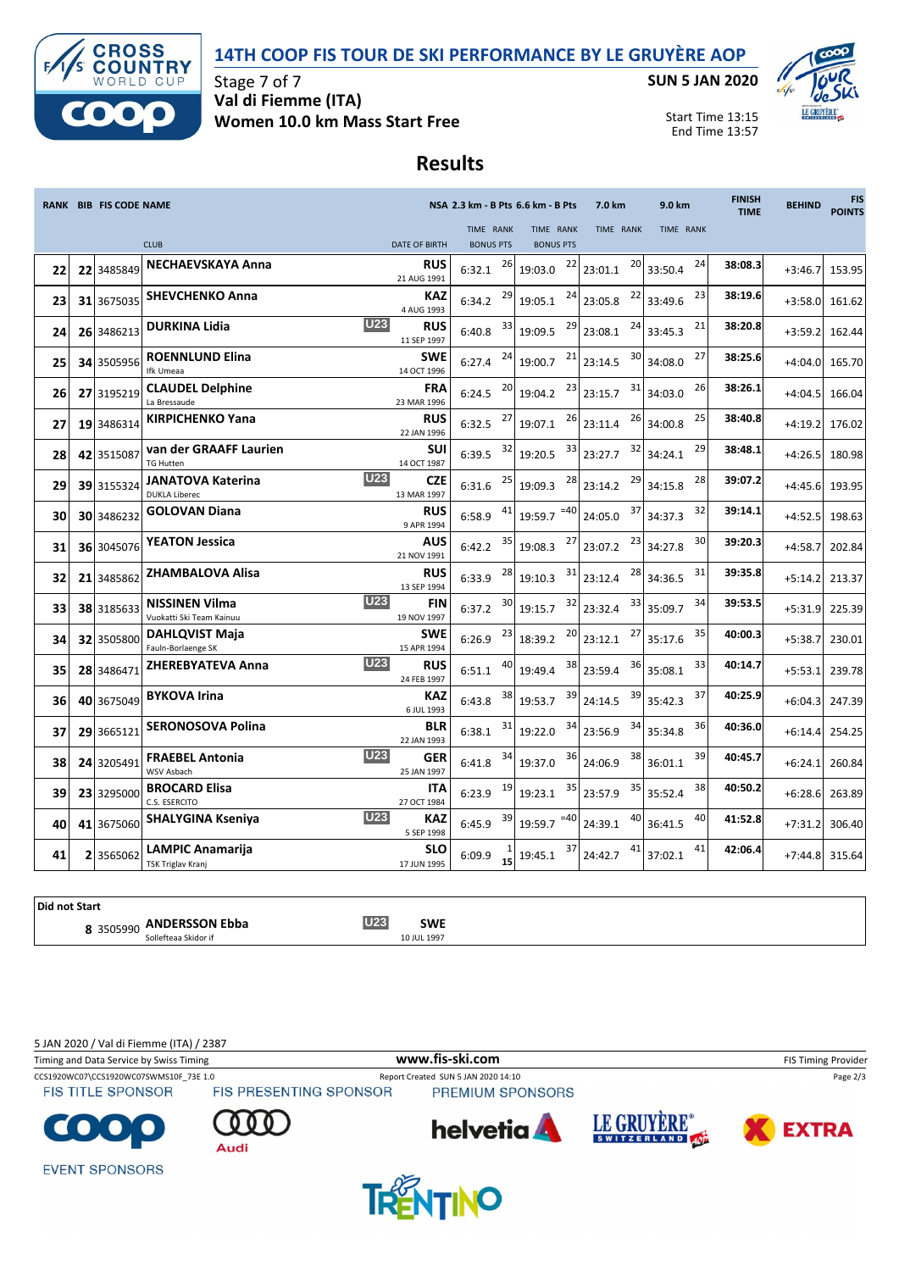## **14TH COOP FIS TOUR DE SKI PERFORMANCE BY LE GRUYÈRE AOP**



Stage 7 of 7 **Val di Fiemme (ITA) Women 10.0 km Mass Start Free** **SUN 5 JAN 2020**



Start Time 13:15 End Time 13:57

## **Results**

|    | RANK BIB FIS CODE NAME |                                                   |                                         | NSA 2.3 km - B Pts 6.6 km - B Pts | 7.0 km<br>9.0 km |                  | <b>FINISH</b><br><b>TIME</b> | <b>BEHIND</b> | <b>FIS</b><br><b>POINTS</b> |           |        |
|----|------------------------|---------------------------------------------------|-----------------------------------------|-----------------------------------|------------------|------------------|------------------------------|---------------|-----------------------------|-----------|--------|
|    |                        |                                                   |                                         | TIME RANK                         |                  | TIME RANK        | TIME RANK                    | TIME RANK     |                             |           |        |
|    |                        | <b>CLUB</b>                                       | <b>DATE OF BIRTH</b>                    | <b>BONUS PTS</b>                  |                  | <b>BONUS PTS</b> |                              |               |                             |           |        |
| 22 | 22 3485849             | <b>NECHAEVSKAYA Anna</b>                          | <b>RUS</b><br>21 AUG 1991               | 6:32.1                            | 26               | 22<br>19:03.0    | 20<br>23:01.1                | 24<br>33:50.4 | 38:08.3                     | $+3:46.7$ | 153.95 |
| 23 | 31 3675035             | <b>SHEVCHENKO Anna</b>                            | <b>KAZ</b><br>4 AUG 1993                | 6:34.2                            | 29               | 24<br>19:05.1    | 22<br>23:05.8                | 23<br>33:49.6 | 38:19.6                     | $+3:58.0$ | 161.62 |
| 24 | 26 3486213             | <b>DURKINA Lidia</b>                              | <b>U23</b><br><b>RUS</b><br>11 SEP 1997 | 6:40.8                            | 33               | 29<br>19:09.5    | 24<br>23:08.1                | 21<br>33:45.3 | 38:20.8                     | $+3:59.2$ | 162.44 |
| 25 | 34 3505956             | <b>ROENNLUND Elina</b><br>Ifk Umeaa               | <b>SWE</b><br>14 OCT 1996               | 6:27.4                            | 24               | 21<br>19:00.7    | 30<br>23:14.5                | 27<br>34:08.0 | 38:25.6                     | $+4:04.0$ | 165.70 |
| 26 | 27 3195219             | <b>CLAUDEL Delphine</b><br>La Bressaude           | <b>FRA</b><br>23 MAR 1996               | 6:24.5                            | 20               | 23<br>19:04.2    | 31<br>23:15.7                | 26<br>34:03.0 | 38:26.1                     | $+4:04.5$ | 166.04 |
| 27 | 19 3486314             | <b>KIRPICHENKO Yana</b>                           | <b>RUS</b><br>22 JAN 1996               | 6:32.5                            | 27               | 26<br>19:07.1    | 26<br>23:11.4                | 25<br>34:00.8 | 38:40.8                     | $+4:19.2$ | 176.02 |
| 28 | 42 3515087             | van der GRAAFF Laurien<br><b>TG Hutten</b>        | <b>SUI</b><br>14 OCT 1987               | 6:39.5                            | 32               | 33<br>19:20.5    | 32<br>23:27.7                | 29<br>34:24.1 | 38:48.1                     | $+4:26.5$ | 180.98 |
| 29 | 39 3155324             | <b>JANATOVA Katerina</b><br><b>DUKLA Liberec</b>  | <b>U23</b><br><b>CZE</b><br>13 MAR 1997 | 6:31.6                            | 25               | 28<br>19:09.3    | 29<br>23:14.2                | 28<br>34:15.8 | 39:07.2                     | $+4:45.6$ | 193.95 |
| 30 | 30 3486232             | <b>GOLOVAN Diana</b>                              | <b>RUS</b><br>9 APR 1994                | 6:58.9                            | 41               | $=40$<br>19:59.7 | 37<br>24:05.0                | 32<br>34:37.3 | 39:14.1                     | $+4:52.5$ | 198.63 |
| 31 | 36 3045076             | <b>YEATON Jessica</b>                             | <b>AUS</b><br>21 NOV 1991               | 6:42.2                            | 35               | 27<br>19:08.3    | 23<br>23:07.2                | 30<br>34:27.8 | 39:20.3                     | +4:58.7   | 202.84 |
| 32 | 21 3485862             | <b>ZHAMBALOVA Alisa</b>                           | <b>RUS</b><br>13 SEP 1994               | 6:33.9                            | 28               | 31<br>19:10.3    | 28<br>23:12.4                | 31<br>34:36.5 | 39:35.8                     | $+5:14.2$ | 213.37 |
| 33 | 38 3185633             | <b>NISSINEN Vilma</b><br>Vuokatti Ski Team Kainuu | <b>U23</b><br><b>FIN</b><br>19 NOV 1997 | 6:37.2                            | 30               | 32<br>19:15.7    | 33<br>23:32.4                | 34<br>35:09.7 | 39:53.5                     | $+5:31.9$ | 225.39 |
| 34 | 32 3505800             | <b>DAHLQVIST Maja</b><br>Fauln-Borlaenge SK       | <b>SWE</b><br>15 APR 1994               | 6:26.9                            | 23               | 20<br>18:39.2    | 27<br>23:12.1                | 35<br>35:17.6 | 40:00.3                     | $+5:38.7$ | 230.01 |
| 35 | 28 3486471             | <b>ZHEREBYATEVA Anna</b>                          | <b>U23</b><br><b>RUS</b><br>24 FEB 1997 | 6:51.1                            | 40               | 38<br>19:49.4    | 36<br>23:59.4                | 33<br>35:08.1 | 40:14.7                     | $+5:53.1$ | 239.78 |
| 36 | 40 3675049             | <b>BYKOVA Irina</b>                               | <b>KAZ</b><br>6 JUL 1993                | 6:43.8                            | 38               | 39<br>19:53.7    | 39<br>24:14.5                | 37<br>35:42.3 | 40:25.9                     | $+6:04.3$ | 247.39 |
| 37 | 29 3665121             | <b>SERONOSOVA Polina</b>                          | <b>BLR</b><br>22 JAN 1993               | 6:38.1                            | 31               | 34<br>19:22.0    | 34<br>23:56.9                | 36<br>35:34.8 | 40:36.0                     | $+6:14.4$ | 254.25 |
| 38 | 24 3205491             | <b>FRAEBEL Antonia</b><br>WSV Asbach              | <b>U23</b><br><b>GER</b><br>25 JAN 1997 | 6:41.8                            | 34               | 36<br>19:37.0    | 38<br>24:06.9                | 39<br>36:01.1 | 40:45.7                     | $+6:24.1$ | 260.84 |
| 39 | 23 3295000             | <b>BROCARD Elisa</b><br>C.S. ESERCITO             | ITA<br>27 OCT 1984                      | 6:23.9                            | 19               | 35<br>19:23.1    | 35<br>23:57.9                | 38<br>35:52.4 | 40:50.2                     | $+6:28.6$ | 263.89 |
| 40 | 41 3675060             | <b>SHALYGINA Kseniya</b>                          | <b>U23</b><br><b>KAZ</b><br>5 SEP 1998  | 6:45.9                            | 39               | $=40$<br>19:59.7 | 40<br>24:39.1                | 40<br>36:41.5 | 41:52.8                     | $+7:31.2$ | 306.40 |
| 41 | 2 3565062              | <b>LAMPIC Anamarija</b><br>TSK Triglav Kranj      | <b>SLO</b><br>17 JUN 1995               | 6:09.9                            | 15               | 37<br>19:45.1    | 41<br>24:42.7                | 41<br>37:02.1 | 42:06.4                     | $+7:44.8$ | 315.64 |

**Did not Start ANDERSSON Ebba U23 SWE**<br> **ANDERSSON Ebba 10 JUL 1997** 

5 JAN 2020 / Val di Fiemme (ITA) / 2387

CCS1920WC07\CCS1920WC07SWMS10F\_73E 1.0 Report Created SUN 5 JAN 2020 14:10 Page 2/3<br>FIS TITLE SPONSOR FIS PRESENTING SPONSOR PREMIUM SPONSORS Timing and Data Service by Swiss Timing **WWW.fis-Ski.com WWW.fis-Ski.com** FIS Timing Provider

Audi

**FIS TITLE SPONSOR** 

**EVENT SPONSORS**